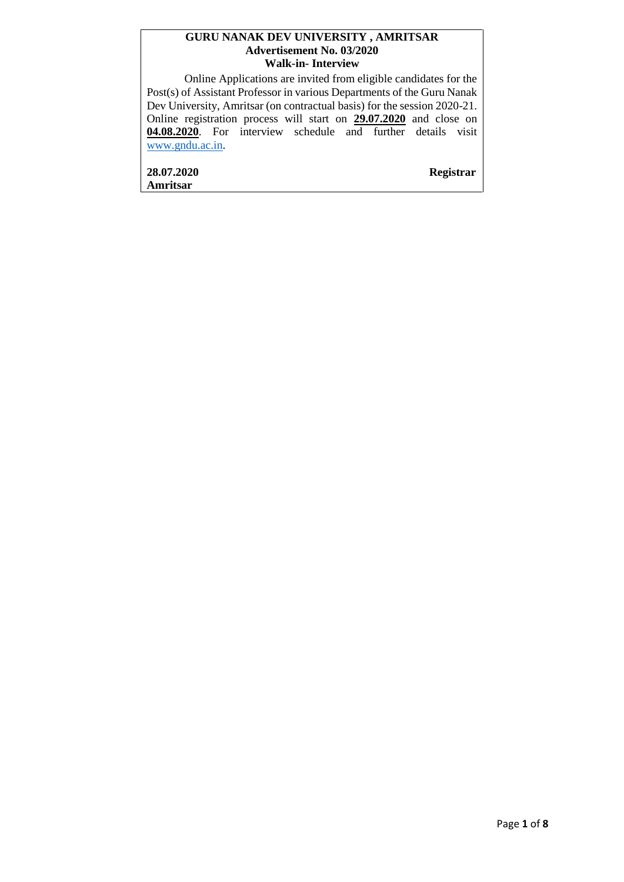#### **GURU NANAK DEV UNIVERSITY , AMRITSAR Advertisement No. 03/2020 Walk-in- Interview**

Online Applications are invited from eligible candidates for the Post(s) of Assistant Professor in various Departments of the Guru Nanak Dev University, Amritsar (on contractual basis) for the session 2020-21. Online registration process will start on **29.07.2020** and close on **04.08.2020**. For interview schedule and further details visit [www.gndu.ac.in.](http://www.gndu.ac.in/)

**28.07.2020 Registrar Amritsar**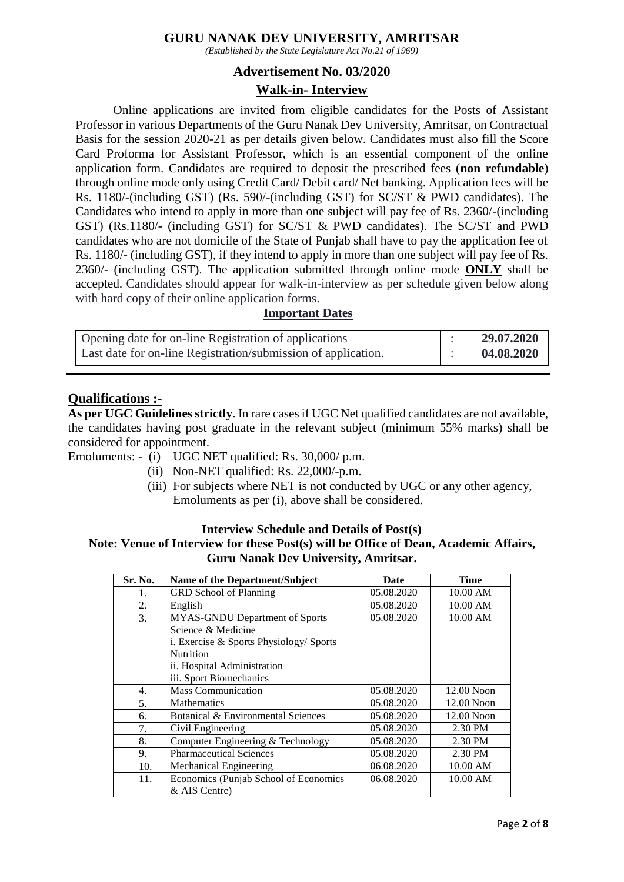### **GURU NANAK DEV UNIVERSITY, AMRITSAR**

*(Established by the State Legislature Act No.21 of 1969)*

#### **Advertisement No. 03/2020**

### **Walk-in- Interview**

Online applications are invited from eligible candidates for the Posts of Assistant Professor in various Departments of the Guru Nanak Dev University, Amritsar, on Contractual Basis for the session 2020-21 as per details given below. Candidates must also fill the Score Card Proforma for Assistant Professor, which is an essential component of the online application form. Candidates are required to deposit the prescribed fees (**non refundable**) through online mode only using Credit Card/ Debit card/ Net banking. Application fees will be Rs. 1180/-(including GST) (Rs. 590/-(including GST) for SC/ST & PWD candidates). The Candidates who intend to apply in more than one subject will pay fee of Rs. 2360/-(including GST) (Rs.1180/- (including GST) for SC/ST & PWD candidates). The SC/ST and PWD candidates who are not domicile of the State of Punjab shall have to pay the application fee of Rs. 1180/- (including GST), if they intend to apply in more than one subject will pay fee of Rs. 2360/- (including GST). The application submitted through online mode **ONLY** shall be accepted. Candidates should appear for walk-in-interview as per schedule given below along with hard copy of their online application forms.

#### **Important Dates**

| Opening date for on-line Registration of applications         | 29.07.2020 |
|---------------------------------------------------------------|------------|
| Last date for on-line Registration/submission of application. | 04.08.2020 |

### **Qualifications :-**

**As per UGC Guidelines strictly**. In rare cases if UGC Net qualified candidates are not available, the candidates having post graduate in the relevant subject (minimum 55% marks) shall be considered for appointment.

Emoluments: - (i) UGC NET qualified: Rs. 30,000/ p.m.

- (ii) Non-NET qualified: Rs. 22,000/-p.m.
- (iii) For subjects where NET is not conducted by UGC or any other agency, Emoluments as per (i), above shall be considered.

#### **Interview Schedule and Details of Post(s)**

### **Note: Venue of Interview for these Post(s) will be Office of Dean, Academic Affairs, Guru Nanak Dev University, Amritsar.**

| Sr. No. | Name of the Department/Subject          | <b>Date</b> | <b>Time</b>  |
|---------|-----------------------------------------|-------------|--------------|
| 1.      | <b>GRD</b> School of Planning           | 05.08.2020  | 10.00 AM     |
| 2.      | English                                 | 05.08.2020  | 10.00 AM     |
| 3.      | MYAS-GNDU Department of Sports          | 05.08.2020  | 10.00 AM     |
|         | Science & Medicine                      |             |              |
|         | i. Exercise & Sports Physiology/ Sports |             |              |
|         | <b>Nutrition</b>                        |             |              |
|         | ii. Hospital Administration             |             |              |
|         | iii. Sport Biomechanics                 |             |              |
| 4.      | <b>Mass Communication</b>               | 05.08.2020  | 12.00 Noon   |
| 5.      | <b>Mathematics</b>                      | 05.08.2020  | $12.00$ Noon |
| 6.      | Botanical & Environmental Sciences      | 05.08.2020  | 12.00 Noon   |
| 7.      | Civil Engineering                       | 05.08.2020  | 2.30 PM      |
| 8.      | Computer Engineering & Technology       | 05.08.2020  | 2.30 PM      |
| 9.      | <b>Pharmaceutical Sciences</b>          | 05.08.2020  | 2.30 PM      |
| 10.     | Mechanical Engineering                  | 06.08.2020  | 10.00 AM     |
| 11.     | Economics (Punjab School of Economics   | 06.08.2020  | 10.00 AM     |
|         | & AIS Centre)                           |             |              |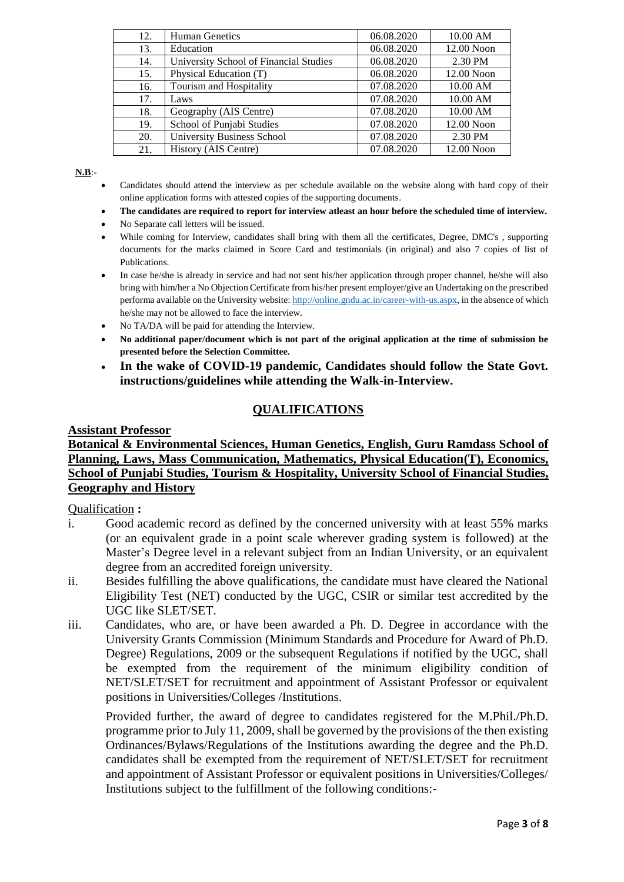| 12. | <b>Human Genetics</b>                  | 06.08.2020 | 10.00 AM   |
|-----|----------------------------------------|------------|------------|
| 13. | Education                              | 06.08.2020 | 12.00 Noon |
| 14. | University School of Financial Studies | 06.08.2020 | 2.30 PM    |
| 15. | Physical Education (T)                 | 06.08.2020 | 12.00 Noon |
| 16. | Tourism and Hospitality                | 07.08.2020 | 10.00 AM   |
| 17. | Laws                                   | 07.08.2020 | 10.00 AM   |
| 18. | Geography (AIS Centre)                 | 07.08.2020 | 10.00 AM   |
| 19. | School of Punjabi Studies              | 07.08.2020 | 12.00 Noon |
| 20. | University Business School             | 07.08.2020 | 2.30 PM    |
| 21. | History (AIS Centre)                   | 07.08.2020 | 12.00 Noon |

**N.B**:-

- Candidates should attend the interview as per schedule available on the website along with hard copy of their online application forms with attested copies of the supporting documents.
- **The candidates are required to report for interview atleast an hour before the scheduled time of interview.**
- No Separate call letters will be issued.
- While coming for Interview, candidates shall bring with them all the certificates, Degree, DMC's , supporting documents for the marks claimed in Score Card and testimonials (in original) and also 7 copies of list of Publications.
- In case he/she is already in service and had not sent his/her application through proper channel, he/she will also bring with him/her a No Objection Certificate from his/her present employer/give an Undertaking on the prescribed performa available on the University website[: http://online.gndu.ac.in/career-with-us.aspx,](http://online.gndu.ac.in/career-with-us.aspx) in the absence of which he/she may not be allowed to face the interview.
- No TA/DA will be paid for attending the Interview.
- **No additional paper/document which is not part of the original application at the time of submission be presented before the Selection Committee.**
- **In the wake of COVID-19 pandemic, Candidates should follow the State Govt. instructions/guidelines while attending the Walk-in-Interview.**

# **QUALIFICATIONS**

### **Assistant Professor**

### **Botanical & Environmental Sciences, Human Genetics, English, Guru Ramdass School of Planning, Laws, Mass Communication, Mathematics, Physical Education(T), Economics, School of Punjabi Studies, Tourism & Hospitality, University School of Financial Studies, Geography and History**

### Qualification **:**

- i. Good academic record as defined by the concerned university with at least 55% marks (or an equivalent grade in a point scale wherever grading system is followed) at the Master's Degree level in a relevant subject from an Indian University, or an equivalent degree from an accredited foreign university.
- ii. Besides fulfilling the above qualifications, the candidate must have cleared the National Eligibility Test (NET) conducted by the UGC, CSIR or similar test accredited by the UGC like SLET/SET.
- iii. Candidates, who are, or have been awarded a Ph. D. Degree in accordance with the University Grants Commission (Minimum Standards and Procedure for Award of Ph.D. Degree) Regulations, 2009 or the subsequent Regulations if notified by the UGC, shall be exempted from the requirement of the minimum eligibility condition of NET/SLET/SET for recruitment and appointment of Assistant Professor or equivalent positions in Universities/Colleges /Institutions.

Provided further, the award of degree to candidates registered for the M.Phil./Ph.D. programme prior to July 11, 2009, shall be governed by the provisions of the then existing Ordinances/Bylaws/Regulations of the Institutions awarding the degree and the Ph.D. candidates shall be exempted from the requirement of NET/SLET/SET for recruitment and appointment of Assistant Professor or equivalent positions in Universities/Colleges/ Institutions subject to the fulfillment of the following conditions:-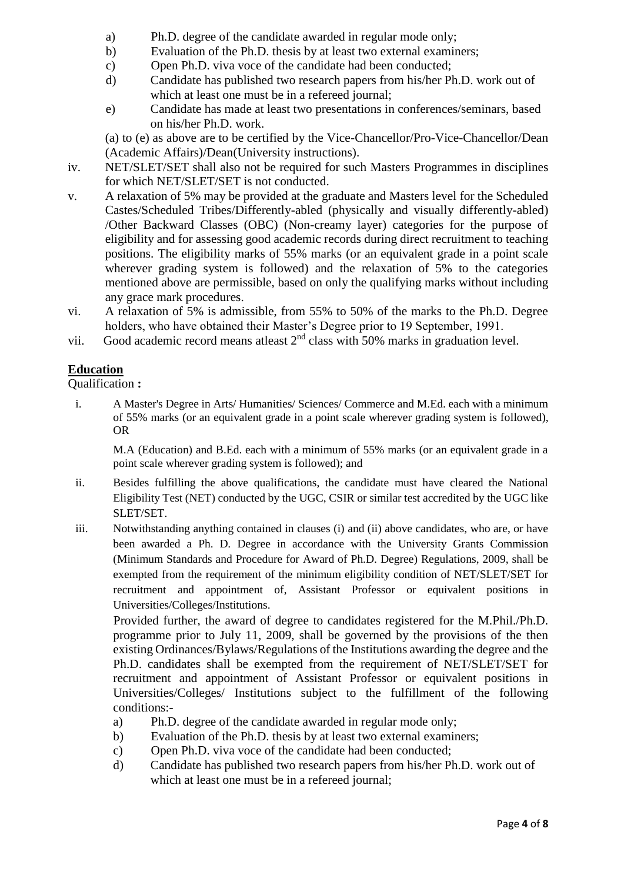- a) Ph.D. degree of the candidate awarded in regular mode only;
- b) Evaluation of the Ph.D. thesis by at least two external examiners;
- c) Open Ph.D. viva voce of the candidate had been conducted;
- d) Candidate has published two research papers from his/her Ph.D. work out of which at least one must be in a refereed journal;
- e) Candidate has made at least two presentations in conferences/seminars, based on his/her Ph.D. work.

(a) to (e) as above are to be certified by the Vice-Chancellor/Pro-Vice-Chancellor/Dean (Academic Affairs)/Dean(University instructions).

- iv. NET/SLET/SET shall also not be required for such Masters Programmes in disciplines for which NET/SLET/SET is not conducted.
- v. A relaxation of 5% may be provided at the graduate and Masters level for the Scheduled Castes/Scheduled Tribes/Differently-abled (physically and visually differently-abled) /Other Backward Classes (OBC) (Non-creamy layer) categories for the purpose of eligibility and for assessing good academic records during direct recruitment to teaching positions. The eligibility marks of 55% marks (or an equivalent grade in a point scale wherever grading system is followed) and the relaxation of 5% to the categories mentioned above are permissible, based on only the qualifying marks without including any grace mark procedures.
- vi. A relaxation of 5% is admissible, from 55% to 50% of the marks to the Ph.D. Degree holders, who have obtained their Master's Degree prior to 19 September, 1991.
- vii. Good academic record means at least  $2<sup>nd</sup>$  class with 50% marks in graduation level.

# **Education**

Qualification **:**

i. A Master's Degree in Arts/ Humanities/ Sciences/ Commerce and M.Ed. each with a minimum of 55% marks (or an equivalent grade in a point scale wherever grading system is followed), OR

M.A (Education) and B.Ed. each with a minimum of 55% marks (or an equivalent grade in a point scale wherever grading system is followed); and

- ii. Besides fulfilling the above qualifications, the candidate must have cleared the National Eligibility Test (NET) conducted by the UGC, CSIR or similar test accredited by the UGC like SLET/SET.
- iii. Notwithstanding anything contained in clauses (i) and (ii) above candidates, who are, or have been awarded a Ph. D*.* Degree in accordance with the University Grants Commission (Minimum Standards and Procedure for Award of Ph.D. Degree) Regulations, 2009, shall be exempted from the requirement of the minimum eligibility condition of NET/SLET/SET for recruitment and appointment of, Assistant Professor or equivalent positions in Universities/Colleges/Institutions.

Provided further, the award of degree to candidates registered for the M.Phil./Ph.D. programme prior to July 11, 2009, shall be governed by the provisions of the then existing Ordinances/Bylaws/Regulations of the Institutions awarding the degree and the Ph.D. candidates shall be exempted from the requirement of NET/SLET/SET for recruitment and appointment of Assistant Professor or equivalent positions in Universities/Colleges/ Institutions subject to the fulfillment of the following conditions:-

- a) Ph.D. degree of the candidate awarded in regular mode only;
- b) Evaluation of the Ph.D. thesis by at least two external examiners;
- c) Open Ph.D. viva voce of the candidate had been conducted;
- d) Candidate has published two research papers from his/her Ph.D. work out of which at least one must be in a refereed journal;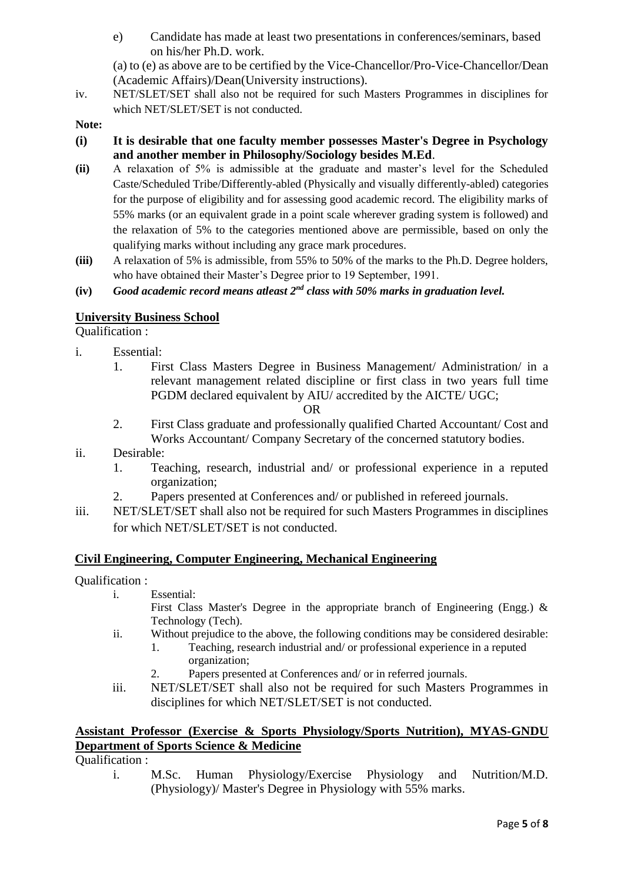e) Candidate has made at least two presentations in conferences/seminars, based on his/her Ph.D. work.

(a) to (e) as above are to be certified by the Vice-Chancellor/Pro-Vice-Chancellor/Dean (Academic Affairs)/Dean(University instructions).

iv. NET/SLET/SET shall also not be required for such Masters Programmes in disciplines for which NET/SLET/SET is not conducted.

**Note:**

- **(i) It is desirable that one faculty member possesses Master's Degree in Psychology and another member in Philosophy/Sociology besides M.Ed**.
- **(ii)** A relaxation of 5% is admissible at the graduate and master's level for the Scheduled Caste/Scheduled Tribe/Differently-abled (Physically and visually differently-abled) categories for the purpose of eligibility and for assessing good academic record. The eligibility marks of 55% marks (or an equivalent grade in a point scale wherever grading system is followed) and the relaxation of 5% to the categories mentioned above are permissible, based on only the qualifying marks without including any grace mark procedures.
- **(iii)** A relaxation of 5% is admissible, from 55% to 50% of the marks to the Ph.D. Degree holders, who have obtained their Master's Degree prior to 19 September, 1991.
- **(iv)** *Good academic record means atleast 2nd class with 50% marks in graduation level.*

# **University Business School**

Qualification :

- i. Essential:
	- 1. First Class Masters Degree in Business Management/ Administration/ in a relevant management related discipline or first class in two years full time PGDM declared equivalent by AIU/ accredited by the AICTE/ UGC;

OR

- 2. First Class graduate and professionally qualified Charted Accountant/ Cost and Works Accountant/ Company Secretary of the concerned statutory bodies.
- ii. Desirable:
	- 1. Teaching, research, industrial and/ or professional experience in a reputed organization;
	- 2. Papers presented at Conferences and/ or published in refereed journals.
- iii. NET/SLET/SET shall also not be required for such Masters Programmes in disciplines for which NET/SLET/SET is not conducted.

### **Civil Engineering, Computer Engineering, Mechanical Engineering**

Qualification :

i. Essential:

First Class Master's Degree in the appropriate branch of Engineering (Engg.) & Technology (Tech).

- ii. Without prejudice to the above, the following conditions may be considered desirable:
	- 1. Teaching, research industrial and/ or professional experience in a reputed organization;
	- 2. Papers presented at Conferences and/ or in referred journals.
- iii. NET/SLET/SET shall also not be required for such Masters Programmes in disciplines for which NET/SLET/SET is not conducted.

### **Assistant Professor (Exercise & Sports Physiology/Sports Nutrition), MYAS-GNDU Department of Sports Science & Medicine**

Qualification :

i. M.Sc. Human Physiology/Exercise Physiology and Nutrition/M.D. (Physiology)/ Master's Degree in Physiology with 55% marks.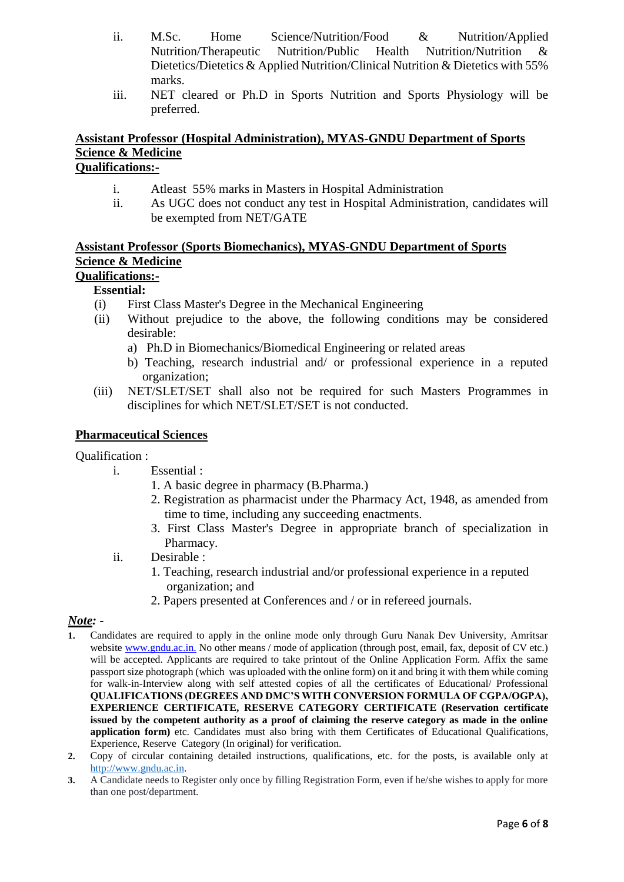- ii. M.Sc. Home Science/Nutrition/Food & Nutrition/Applied Nutrition/Therapeutic Nutrition/Public Health Nutrition/Nutrition & Dietetics/Dietetics & Applied Nutrition/Clinical Nutrition & Dietetics with 55% marks.
- iii. NET cleared or Ph.D in Sports Nutrition and Sports Physiology will be preferred.

### **Assistant Professor (Hospital Administration), MYAS-GNDU Department of Sports Science & Medicine Qualifications:-**

# i. Atleast 55% marks in Masters in Hospital Administration

ii. As UGC does not conduct any test in Hospital Administration, candidates will be exempted from NET/GATE

# **Assistant Professor (Sports Biomechanics), MYAS-GNDU Department of Sports Science & Medicine**

# **Qualifications:-**

# **Essential:**

- (i) First Class Master's Degree in the Mechanical Engineering
- (ii) Without prejudice to the above, the following conditions may be considered desirable:
	- a) Ph.D in Biomechanics/Biomedical Engineering or related areas
	- b) Teaching, research industrial and/ or professional experience in a reputed organization;
- (iii) NET/SLET/SET shall also not be required for such Masters Programmes in disciplines for which NET/SLET/SET is not conducted.

### **Pharmaceutical Sciences**

### Qualification :

i. Essential :

- 1. A basic degree in pharmacy (B.Pharma.)
- 2. Registration as pharmacist under the Pharmacy Act, 1948, as amended from time to time, including any succeeding enactments.
- 3. First Class Master's Degree in appropriate branch of specialization in Pharmacy.
- ii. Desirable :
	- 1. Teaching, research industrial and/or professional experience in a reputed organization; and
	- 2. Papers presented at Conferences and / or in refereed journals.

### *Note: -*

- **1.** Candidates are required to apply in the online mode only through Guru Nanak Dev University, Amritsar website www.gndu.ac.in. No other means / mode of application (through post, email, fax, deposit of CV etc.) will be accepted. Applicants are required to take printout of the Online Application Form. Affix the same passport size photograph (which was uploaded with the online form) on it and bring it with them while coming for walk-in-Interview along with self attested copies of all the certificates of Educational/ Professional **QUALIFICATIONS (DEGREES AND DMC'S WITH CONVERSION FORMULA OF CGPA/OGPA), EXPERIENCE CERTIFICATE, RESERVE CATEGORY CERTIFICATE (Reservation certificate issued by the competent authority as a proof of claiming the reserve category as made in the online application form)** etc. Candidates must also bring with them Certificates of Educational Qualifications, Experience, Reserve Category (In original) for verification.
- **2.** Copy of circular containing detailed instructions, qualifications, etc. for the posts, is available only at [http://www.gndu.ac.in.](http://www.gndu.ac.in/)
- **3.** A Candidate needs to Register only once by filling Registration Form, even if he/she wishes to apply for more than one post/department.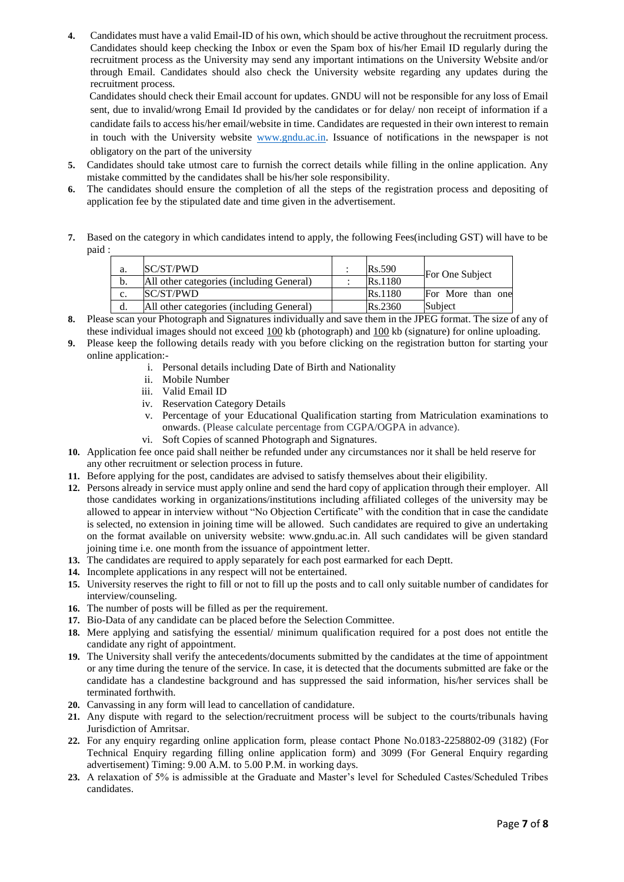**4.** Candidates must have a valid Email-ID of his own, which should be active throughout the recruitment process. Candidates should keep checking the Inbox or even the Spam box of his/her Email ID regularly during the recruitment process as the University may send any important intimations on the University Website and/or through Email. Candidates should also check the University website regarding any updates during the recruitment process.

Candidates should check their Email account for updates. GNDU will not be responsible for any loss of Email sent, due to invalid/wrong Email Id provided by the candidates or for delay/ non receipt of information if a candidate fails to access his/her email/website in time. Candidates are requested in their own interest to remain in touch with the University website [www.gndu.ac.in.](http://www.gndu.ac.in/) Issuance of notifications in the newspaper is not obligatory on the part of the university

- **5.** Candidates should take utmost care to furnish the correct details while filling in the online application. Any mistake committed by the candidates shall be his/her sole responsibility.
- **6.** The candidates should ensure the completion of all the steps of the registration process and depositing of application fee by the stipulated date and time given in the advertisement.
- **7.** Based on the category in which candidates intend to apply, the following Fees(including GST) will have to be paid :

| а.             | SC/ST/PWD                                | <b>Rs.590</b> | For One Subject   |
|----------------|------------------------------------------|---------------|-------------------|
| b.             | All other categories (including General) | Rs.1180       |                   |
| $\mathbf{c}$ . | <b>ISC/ST/PWD</b>                        | Rs.1180       | For More than one |
| d.             | All other categories (including General) | Rs.2360       | Subject           |

- **8.** Please scan your Photograph and Signatures individually and save them in the JPEG format. The size of any of these individual images should not exceed 100 kb (photograph) and 100 kb (signature) for online uploading.
- **9.** Please keep the following details ready with you before clicking on the registration button for starting your online application:
	- i. Personal details including Date of Birth and Nationality
	- ii. Mobile Number
	- iii. Valid Email ID
	- iv. Reservation Category Details
	- v. Percentage of your Educational Qualification starting from Matriculation examinations to onwards. (Please calculate percentage from CGPA/OGPA in advance).
	- vi. Soft Copies of scanned Photograph and Signatures.
- **10.** Application fee once paid shall neither be refunded under any circumstances nor it shall be held reserve for any other recruitment or selection process in future.
- **11.** Before applying for the post, candidates are advised to satisfy themselves about their eligibility.
- **12.** Persons already in service must apply online and send the hard copy of application through their employer. All those candidates working in organizations/institutions including affiliated colleges of the university may be allowed to appear in interview without "No Objection Certificate" with the condition that in case the candidate is selected, no extension in joining time will be allowed. Such candidates are required to give an undertaking on the format available on university website: www.gndu.ac.in. All such candidates will be given standard joining time i.e. one month from the issuance of appointment letter.
- **13.** The candidates are required to apply separately for each post earmarked for each Deptt.
- **14.** Incomplete applications in any respect will not be entertained.
- **15.** University reserves the right to fill or not to fill up the posts and to call only suitable number of candidates for interview/counseling.
- **16.** The number of posts will be filled as per the requirement.
- **17.** Bio-Data of any candidate can be placed before the Selection Committee.
- **18.** Mere applying and satisfying the essential/ minimum qualification required for a post does not entitle the candidate any right of appointment.
- **19.** The University shall verify the antecedents/documents submitted by the candidates at the time of appointment or any time during the tenure of the service. In case, it is detected that the documents submitted are fake or the candidate has a clandestine background and has suppressed the said information, his/her services shall be terminated forthwith.
- **20.** Canvassing in any form will lead to cancellation of candidature.
- **21.** Any dispute with regard to the selection/recruitment process will be subject to the courts/tribunals having Jurisdiction of Amritsar.
- **22.** For any enquiry regarding online application form, please contact Phone No.0183-2258802-09 (3182) (For Technical Enquiry regarding filling online application form) and 3099 (For General Enquiry regarding advertisement) Timing: 9.00 A.M. to 5.00 P.M. in working days.
- **23.** A relaxation of 5% is admissible at the Graduate and Master's level for Scheduled Castes/Scheduled Tribes candidates.